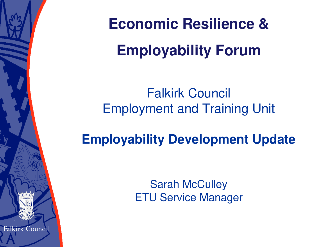**Economic Resilience & Employability Forum**

Falkirk Council Employment and Training Unit

**Employability Development Update**

**Sarah McCulley** ETU Service Manager

Falkirk Council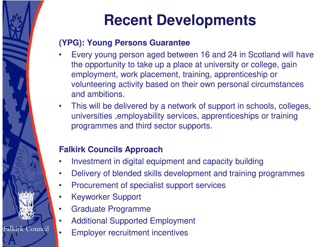

### **(YPG): Young Persons Guarantee**

- Every young person aged between 16 and 24 in Scotland will have the opportunity to take up a place at university or college, gain employment, work placement, training, apprenticeship or volunteering activity based on their own personal circumstances and ambitions.
- This will be delivered by a network of support in schools, colleges, universities ,employability services, apprenticeships or training programmes and third sector supports.

### **Falkirk Councils Approach**

- Investment in digital equipment and capacity building
- Delivery of blended skills development and training programmes
- Procurement of specialist support services
- Keyworker Support
- Graduate Programme
- Additional Supported Employment
- **Employer recruitment incentives**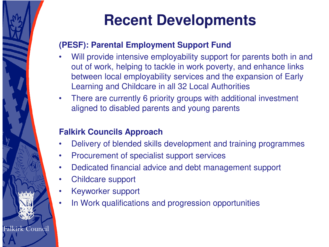

### **(PESF): Parental Employment Support Fund**

- Will provide intensive employability support for parents both in and out of work, helping to tackle in work poverty, and enhance links between local employability services and the expansion of Early Learning and Childcare in all 32 Local Authorities
- There are currently 6 priority groups with additional investment aligned to disabled parents and young parents

### **Falkirk Councils Approach**

- Delivery of blended skills development and training programmes
- Procurement of specialist support services
- Dedicated financial advice and debt management support
- Childcare support
- Keyworker support
- In Work qualifications and progression opportunities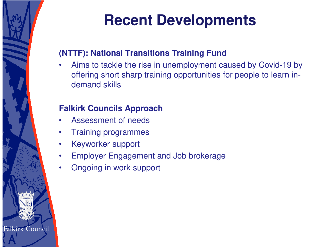

### **(NTTF): National Transitions Training Fund**

• Aims to tackle the rise in unemployment caused by Covid-19 by offering short sharp training opportunities for people to learn indemand skills

### **Falkirk Councils Approach**

- Assessment of needs
- Training programmes
- Keyworker support
- Employer Engagement and Job brokerage
- Ongoing in work support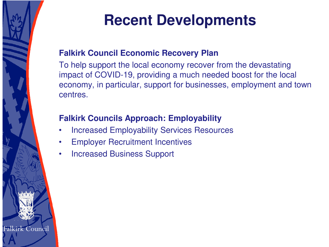

#### **Falkirk Council Economic Recovery Plan**

To help support the local economy recover from the devastating impact of COVID-19, providing a much needed boost for the local economy, in particular, support for businesses, employment and town centres.

### **Falkirk Councils Approach: Employability**

- Increased Employability Services Resources
- **Employer Recruitment Incentives**
- Increased Business Support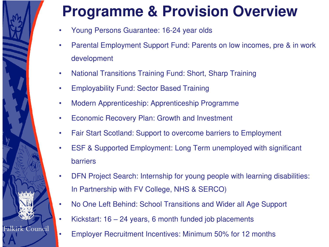# **Programme & Provision Overview**

- Young Persons Guarantee: 16-24 year olds
- Parental Employment Support Fund: Parents on low incomes, pre & in work development
- National Transitions Training Fund: Short, Sharp Training
- Employability Fund: Sector Based Training
- Modern Apprenticeship: Apprenticeship Programme
- Economic Recovery Plan: Growth and Investment
- Fair Start Scotland: Support to overcome barriers to Employment
- ESF & Supported Employment: Long Term unemployed with significant barriers
- DFN Project Search: Internship for young people with learning disabilities: In Partnership with FV College, NHS & SERCO)
- No One Left Behind: School Transitions and Wider all Age Support
- Kickstart: 16 24 years, 6 month funded job placements

Falkirk Council

• Employer Recruitment Incentives: Minimum 50% for 12 months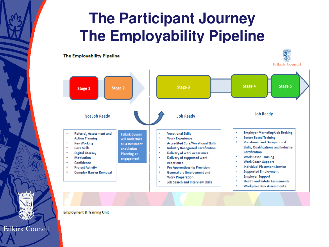# **The Participant Journey The Employability Pipeline**



**Employment & Training Unit** 

Falkirk Council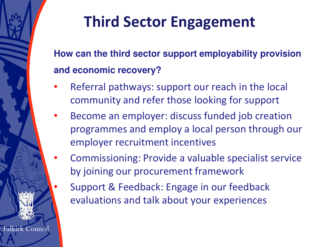

# **Third Sector Engagement**

**How can the third sector support employability provision and economic recovery?** 

- Referral pathways: support our reach in the local community and refer those looking for support
- Become an employer: discuss funded job creation programmes and employ a local person through our employer recruitment incentives
- Commissioning: Provide a valuable specialist service by joining our procurement framework
	- Support & Feedback: Engage in our feedback evaluations and talk about your experiences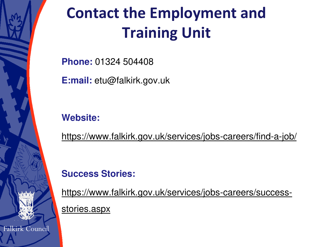

# **Contact the Employment and Training Unit**

**Phone:** 01324 504408

**E:mail:** etu@falkirk.gov.uk

### **Website:**

<https://www.falkirk.gov.uk/services/jobs-careers/find-a-job/>

### **Success Stories:**

[https://www.falkirk.gov.uk/services/jobs-careers/success](https://www.falkirk.gov.uk/services/jobs-careers/success-stories.aspx)stories.aspx